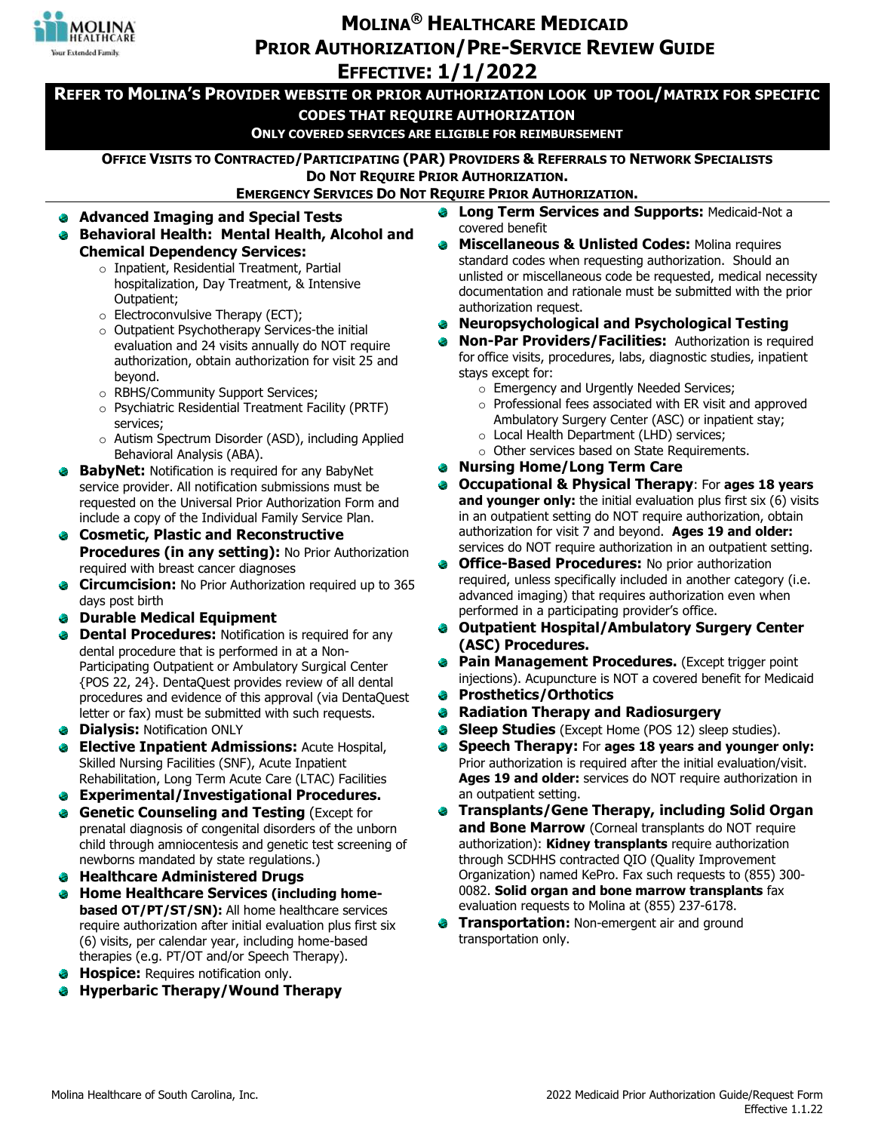

# **MOLINA<sup>®</sup> HEALTHCARE MEDICAID PRIOR AUTHORIZATION/PRE-SERVICE REVIEW GUIDE EFFECTIVE: 1/1/2022**

**- REFER TO MOLINA'S PROVIDER WEBSITE OR PRIOR AUTHORIZATION LOOK UP TOOL/MATRIX FOR SPECIFIC CODES THAT REQUIRE AUTHORIZATION ONLY COVERED SERVICES ARE ELIGIBLE FOR REIMBURSEMENT OFFICE VISITS TO CONTRACTED/PARTICIPATING (PAR) PROVIDERS & REFERRALS TO NETWORK SPECIALISTS DO NOT REQUIRE PRIOR AUTHORIZATION. EMERGENCY SERVICES DO NOT REQUIRE PRIOR AUTHORIZATION. Long Term Services and Supports: Medicaid-Not a** Ō. **Advanced Imaging and Special Tests**  covered benefit  **Behavioral Health: Mental Health, Alcohol and Miscellaneous & Unlisted Codes: Molina requires Chemical Dependency Services:** standard codes when requesting authorization. Should an  $\circ$  Inpatient, Residential Treatment, Partial hospitalization, Day Treatment, & Intensive Outpatient; authorization request.  $\circ$  Electroconvulsive Therapy (ECT); **Neuropsychological and Psychological Testing**  ۰  $\circ$  Outpatient Psychotherapy Services-the initial evaluation and 24 visits annually do NOT require authorization, obtain authorization for visit 25 and stays except for: beyond.  $\circ$  Emergency and Urgently Needed Services; o RBHS/Community Support Services;  $\circ$  Psychiatric Residential Treatment Facility (PRTF) Ambulatory Surgery Center (ASC) or inpatient stay; services;  $\circ$  Local Health Department (LHD) services; o Autism Spectrum Disorder (ASD), including Applied  $\circ$  Other services based on State Requirements. Behavioral Analysis (ABA). **Nursing Home/Long Term Care BabyNet:** Notification is required for any BabyNet service provider. All notification submissions must be requested on the Universal Prior Authorization Form and include a copy of the Individual Family Service Plan. **Cosmetic, Plastic and Reconstructive**  authorization for visit 7 and beyond. Ages 19 and older: **Procedures (in any setting):** No Prior Authorization **Office-Based Procedures: No prior authorization** ٠ required with breast cancer diagnoses

- **Circumcision:** No Prior Authorization required up to 365 days post birth
- **Durable Medical Equipment**
- **Dental Procedures:** Notification is required for any  $\bullet$ dental procedure that is performed in at a Non-Participating Outpatient or Ambulatory Surgical Center {POS 22, 24}. DentaQuest provides review of all dental procedures and evidence of this approval (via DentaQuest letter or fax) must be submitted with such requests.
- *Dialysis: Notification ONLY*
- **Elective Inpatient Admissions: Acute Hospital,** ۰ Skilled Nursing Facilities (SNF), Acute Inpatient Rehabilitation, Long Term Acute Care (LTAC) Facilities
- **Experimental/Investigational Procedures.**
- **Genetic Counseling and Testing** (Except for € prenatal diagnosis of congenital disorders of the unborn child through amniocentesis and genetic test screening of newborns mandated by state regulations.)
- **Healthcare Administered Drugs**
- **Home Healthcare Services (including homebased OT/PT/ST/SN):** All home healthcare services require authorization after initial evaluation plus first six (6) visits, per calendar year, including home-based therapies (e.g. PT/OT and/or Speech Therapy).
- **Hospice:** Requires notification only.
- **Hyperbaric Therapy/Wound Therapy**
- unlisted or miscellaneous code be requested, medical necessity documentation and rationale must be submitted with the prior
- **Non-Par Providers/Facilities:** Authorization is required for office visits, procedures, labs, diagnostic studies, inpatient
	- $\circ$  Professional fees associated with ER visit and approved
- **Occupational & Physical Therapy**: For **ages 18 years and younger only:** the initial evaluation plus first six (6) visits in an outpatient setting do NOT require authorization, obtain services do NOT require authorization in an outpatient setting.
- required, unless specifically included in another category (i.e. advanced imaging) that requires authorization even when performed in a participating provider's office.
- Ø **Outpatient Hospital/Ambulatory Surgery Center (ASC) Procedures.**
- injections). Acupuncture is NOT a covered benefit for Medicaid **Pain Management Procedures.** (Except trigger point
- ٠ **Prosthetics/Orthotics**
- **Radiation Therapy and Radiosurgery**
- **Sleep Studies** (Except Home (POS 12) sleep studies). ۵
- **Speech Therapy:** For **ages 18 years and younger only:**  ٠ Prior authorization is required after the initial evaluation/visit. Ages 19 and older: services do NOT require authorization in an outpatient setting.
- **Transplants/Gene Therapy, including Solid Organ and Bone Marrow** (Corneal transplants do NOT require authorization): **Kidney transplants** require authorization through SCDHHS contracted QIO (Quality Improvement Organization) named KePro. Fax such requests to (855) 300-0082. Solid organ and bone marrow transplants fax evaluation requests to Molina at (855) 237-6178.
- **Transportation: Non-emergent air and ground** transportation only.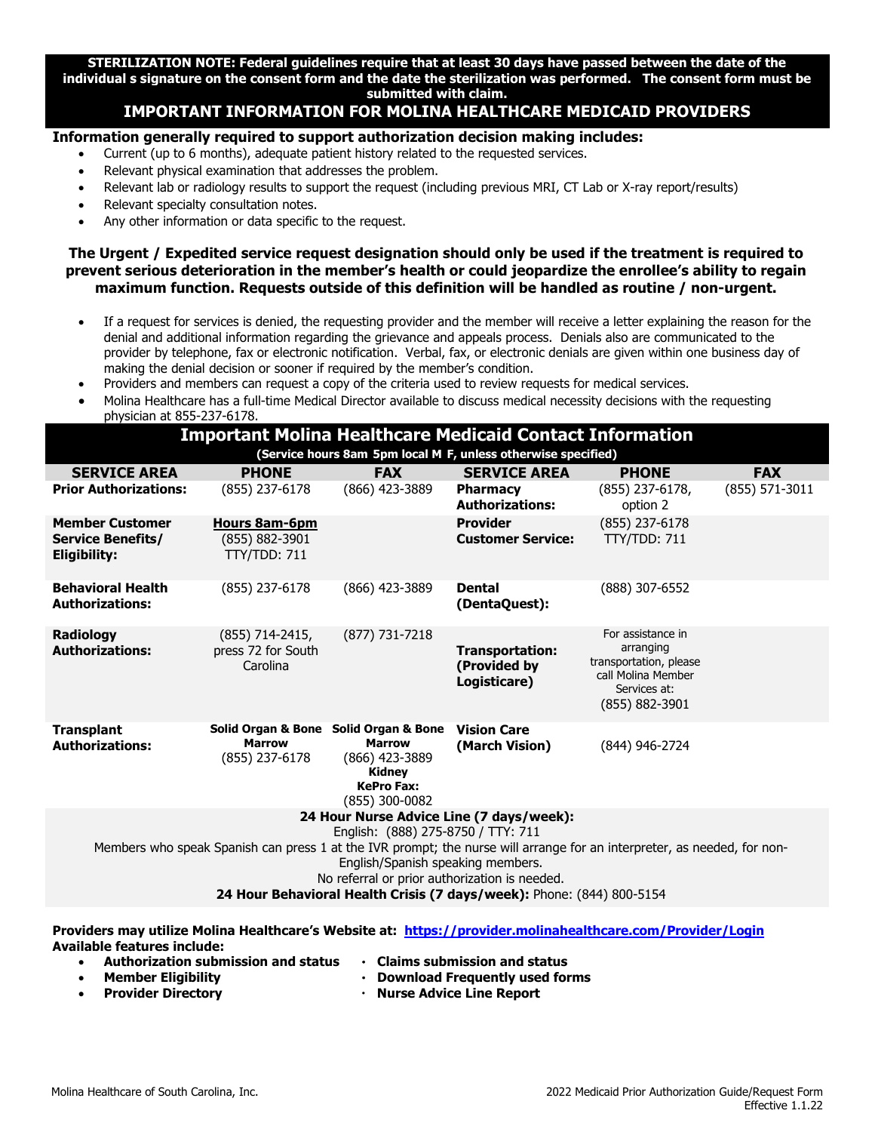**' individual s signature on the consent form and the date the sterilization was performed. The consent form must be STERILIZATION NOTE: Federal guidelines require that at least 30 days have passed between the date of the submitted with claim.** 

## **IMPORTANT INFORMATION FOR MOLINA HEALTHCARE MEDICAID PROVIDERS**

#### **Information generally required to support authorization decision making includes:**

- Current (up to 6 months), adequate patient history related to the requested services.
- Relevant physical examination that addresses the problem.
- Relevant lab or radiology results to support the request (including previous MRI, CT Lab or X-ray report/results)
- Relevant specialty consultation notes.
- Any other information or data specific to the request.

#### **The Urgent / Expedited service request designation should only be used if the treatment is required to prevent serious deterioration in the member's health or could jeopardize the enrollee's ability to regain maximum function. Requests outside of this definition will be handled as routine / non-urgent.**

- denial and additional information regarding the grievance and appeals process. Denials also are communicated to the provider by telephone, fax or electronic notification. Verbal, fax, or electronic denials are given within one business day of making the denial decision or sooner if required by the member's condition. If a request for services is denied, the requesting provider and the member will receive a letter explaining the reason for the
- making the denial decision or sooner if required by the member's condition.<br> Providers and members can request a copy of the criteria used to review requests for medical services.
- Molina Healthcare has a full-time Medical Director available to discuss medical necessity decisions with the requesting physician at 855-237-6178.

| <b>Important Molina Healthcare Medicaid Contact Information</b>                                                                                                                                                                                                                                                                                                          |                                                                          |                                                                                         |                                                 |                                                                                                                  |                |  |  |  |  |  |  |
|--------------------------------------------------------------------------------------------------------------------------------------------------------------------------------------------------------------------------------------------------------------------------------------------------------------------------------------------------------------------------|--------------------------------------------------------------------------|-----------------------------------------------------------------------------------------|-------------------------------------------------|------------------------------------------------------------------------------------------------------------------|----------------|--|--|--|--|--|--|
| (Service hours 8am 5pm local M F, unless otherwise specified)                                                                                                                                                                                                                                                                                                            |                                                                          |                                                                                         |                                                 |                                                                                                                  |                |  |  |  |  |  |  |
| <b>SERVICE AREA</b>                                                                                                                                                                                                                                                                                                                                                      | <b>PHONE</b>                                                             | <b>FAX</b>                                                                              | <b>SERVICE AREA</b>                             | <b>PHONE</b>                                                                                                     | <b>FAX</b>     |  |  |  |  |  |  |
| <b>Prior Authorizations:</b>                                                                                                                                                                                                                                                                                                                                             | (855) 237-6178                                                           | (866) 423-3889                                                                          | Pharmacy<br><b>Authorizations:</b>              | $(855)$ 237-6178,<br>option 2                                                                                    | (855) 571-3011 |  |  |  |  |  |  |
| <b>Member Customer</b><br><b>Service Benefits/</b><br>Eligibility:                                                                                                                                                                                                                                                                                                       | <b>Hours 8am-6pm</b><br>(855) 882-3901<br>TTY/TDD: 711                   |                                                                                         | <b>Provider</b><br><b>Customer Service:</b>     | (855) 237-6178<br>TTY/TDD: 711                                                                                   |                |  |  |  |  |  |  |
| <b>Behavioral Health</b><br><b>Authorizations:</b>                                                                                                                                                                                                                                                                                                                       | (855) 237-6178                                                           | (866) 423-3889                                                                          | <b>Dental</b><br>(DentaQuest):                  | (888) 307-6552                                                                                                   |                |  |  |  |  |  |  |
| <b>Radiology</b><br><b>Authorizations:</b>                                                                                                                                                                                                                                                                                                                               | (855) 714-2415,<br>press 72 for South<br>Carolina                        | (877) 731-7218                                                                          | Transportation:<br>(Provided by<br>Logisticare) | For assistance in<br>arranging<br>transportation, please<br>call Molina Member<br>Services at:<br>(855) 882-3901 |                |  |  |  |  |  |  |
| <b>Transplant</b><br><b>Authorizations:</b>                                                                                                                                                                                                                                                                                                                              | Solid Organ & Bone Solid Organ & Bone<br><b>Marrow</b><br>(855) 237-6178 | <b>Marrow</b><br>(866) 423-3889<br><b>Kidney</b><br><b>KePro Fax:</b><br>(855) 300-0082 | <b>Vision Care</b><br>(March Vision)            | (844) 946-2724                                                                                                   |                |  |  |  |  |  |  |
| 24 Hour Nurse Advice Line (7 days/week):<br>English: (888) 275-8750 / TTY: 711<br>Members who speak Spanish can press 1 at the IVR prompt; the nurse will arrange for an interpreter, as needed, for non-<br>English/Spanish speaking members.<br>No referral or prior authorization is needed.<br>24 Hour Behavioral Health Crisis (7 days/week): Phone: (844) 800-5154 |                                                                          |                                                                                         |                                                 |                                                                                                                  |                |  |  |  |  |  |  |
|                                                                                                                                                                                                                                                                                                                                                                          |                                                                          |                                                                                         |                                                 |                                                                                                                  |                |  |  |  |  |  |  |

Providersmay utilize Molina Healthcare's Website at: <u>I</u> **Available features include:** 

- $\bullet$ Authorization submission and status  $\bullet$
- **Claims submission and status**
- Download Frequently used forms

**Provider Directory**  $\bullet$ 

**Member Eligibility** 

· Nurse Advice Line Report